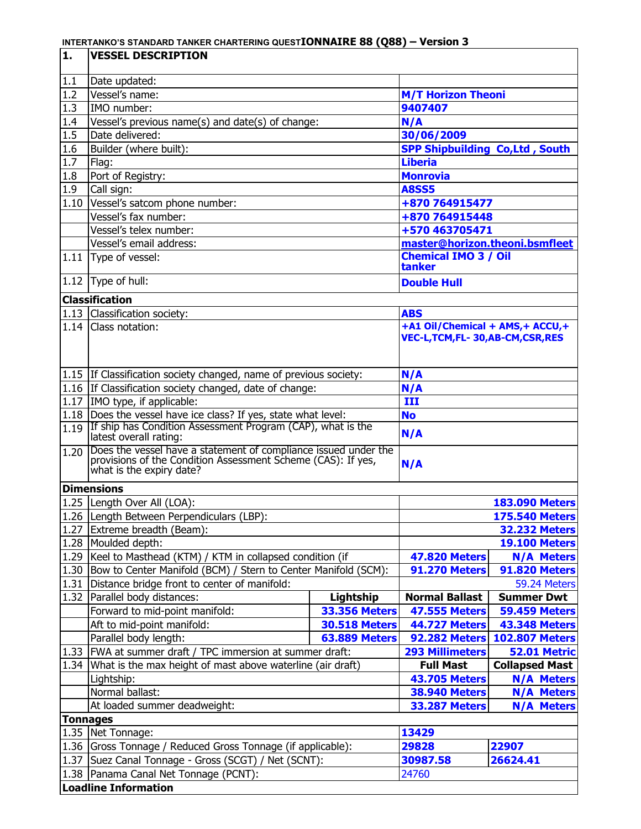| 1.              | <b>VESSEL DESCRIPTION</b>                                                                  |                           |                                        |                       |  |  |  |
|-----------------|--------------------------------------------------------------------------------------------|---------------------------|----------------------------------------|-----------------------|--|--|--|
| 1.1             | Date updated:                                                                              |                           |                                        |                       |  |  |  |
| 1.2             | Vessel's name:                                                                             | <b>M/T Horizon Theoni</b> |                                        |                       |  |  |  |
| 1.3             | IMO number:                                                                                |                           | 9407407                                |                       |  |  |  |
| 1.4             | Vessel's previous name(s) and date(s) of change:                                           |                           | N/A                                    |                       |  |  |  |
| 1.5             | Date delivered:                                                                            |                           | 30/06/2009                             |                       |  |  |  |
| 1.6             | Builder (where built):                                                                     |                           | <b>SPP Shipbuilding Co, Ltd, South</b> |                       |  |  |  |
| 1.7             | Flag:                                                                                      |                           | <b>Liberia</b>                         |                       |  |  |  |
| 1.8             | Port of Registry:                                                                          |                           | <b>Monrovia</b>                        |                       |  |  |  |
| 1.9             | Call sign:                                                                                 |                           | <b>A8SS5</b>                           |                       |  |  |  |
| 1.10            | Vessel's satcom phone number:                                                              |                           | +870 764915477                         |                       |  |  |  |
|                 | Vessel's fax number:                                                                       |                           | +870 764915448                         |                       |  |  |  |
|                 | Vessel's telex number:                                                                     |                           | +570 463705471                         |                       |  |  |  |
|                 | Vessel's email address:                                                                    |                           | master@horizon.theoni.bsmfleet         |                       |  |  |  |
| 1.11            | Type of vessel:                                                                            |                           | <b>Chemical IMO 3 / Oil</b>            |                       |  |  |  |
|                 |                                                                                            |                           | tanker                                 |                       |  |  |  |
|                 | 1.12 $Type$ of hull:                                                                       |                           | <b>Double Hull</b>                     |                       |  |  |  |
|                 | <b>Classification</b>                                                                      |                           |                                        |                       |  |  |  |
|                 | 1.13 Classification society:                                                               |                           | <b>ABS</b>                             |                       |  |  |  |
| 1.14            | Class notation:                                                                            |                           | +A1 Oil/Chemical + AMS, + ACCU, +      |                       |  |  |  |
|                 |                                                                                            |                           | VEC-L,TCM,FL-30,AB-CM,CSR,RES          |                       |  |  |  |
|                 |                                                                                            |                           |                                        |                       |  |  |  |
|                 |                                                                                            |                           |                                        |                       |  |  |  |
|                 | 1.15 If Classification society changed, name of previous society:                          |                           | N/A                                    |                       |  |  |  |
|                 | 1.16 If Classification society changed, date of change:                                    |                           | N/A                                    |                       |  |  |  |
|                 | 1.17   IMO type, if applicable:                                                            |                           | III                                    |                       |  |  |  |
|                 | 1.18 Does the vessel have ice class? If yes, state what level:                             |                           | <b>No</b>                              |                       |  |  |  |
|                 | 1.19 If ship has Condition Assessment Program (CAP), what is the<br>latest overall rating: |                           | N/A                                    |                       |  |  |  |
| 1.20            | Does the vessel have a statement of compliance issued under the                            |                           |                                        |                       |  |  |  |
|                 | provisions of the Condition Assessment Scheme (CAS): If yes,                               |                           | N/A                                    |                       |  |  |  |
|                 | what is the expiry date?                                                                   |                           |                                        |                       |  |  |  |
|                 | <b>Dimensions</b>                                                                          |                           |                                        |                       |  |  |  |
|                 | 1.25 Length Over All (LOA):                                                                |                           |                                        | <b>183.090 Meters</b> |  |  |  |
|                 | 1.26 Length Between Perpendiculars (LBP):                                                  |                           |                                        | <b>175.540 Meters</b> |  |  |  |
| 1.27            | Extreme breadth (Beam):                                                                    |                           |                                        | <b>32.232 Meters</b>  |  |  |  |
| 1.28            | Moulded depth:                                                                             |                           |                                        | <b>19.100 Meters</b>  |  |  |  |
|                 | 1.29   Keel to Masthead (KTM) / KTM in collapsed condition (if                             |                           | <b>47.820 Meters</b>                   | <b>N/A Meters</b>     |  |  |  |
| 1.30            | Bow to Center Manifold (BCM) / Stern to Center Manifold (SCM):                             |                           | <b>91.270 Meters</b>                   | <b>91.820 Meters</b>  |  |  |  |
| 1.31            | Distance bridge front to center of manifold:                                               |                           |                                        | 59.24 Meters          |  |  |  |
| 1.32            | Parallel body distances:                                                                   | Lightship                 | <b>Normal Ballast</b>                  | <b>Summer Dwt</b>     |  |  |  |
|                 | Forward to mid-point manifold:                                                             | <b>33.356 Meters</b>      | <b>47.555 Meters</b>                   | <b>59.459 Meters</b>  |  |  |  |
|                 | Aft to mid-point manifold:                                                                 | <b>30.518 Meters</b>      | <b>44.727 Meters</b>                   | <b>43.348 Meters</b>  |  |  |  |
|                 | Parallel body length:                                                                      | <b>63.889 Meters</b>      | <b>92.282 Meters</b>                   | <b>102.807 Meters</b> |  |  |  |
|                 | 1.33 FWA at summer draft / TPC immersion at summer draft:                                  |                           | <b>293 Millimeters</b>                 | 52.01 Metric          |  |  |  |
|                 | 1.34 What is the max height of mast above waterline (air draft)                            |                           | <b>Full Mast</b>                       | <b>Collapsed Mast</b> |  |  |  |
|                 | Lightship:                                                                                 |                           | <b>43.705 Meters</b>                   | <b>N/A Meters</b>     |  |  |  |
|                 | Normal ballast:                                                                            | <b>38.940 Meters</b>      | <b>N/A Meters</b>                      |                       |  |  |  |
|                 | At loaded summer deadweight:                                                               |                           | <b>33.287 Meters</b>                   | <b>N/A Meters</b>     |  |  |  |
| <b>Tonnages</b> |                                                                                            |                           |                                        |                       |  |  |  |
|                 | 1.35 Net Tonnage:                                                                          |                           | 13429                                  |                       |  |  |  |
|                 | 1.36 Gross Tonnage / Reduced Gross Tonnage (if applicable):                                |                           | 29828                                  | 22907                 |  |  |  |
|                 | 1.37 Suez Canal Tonnage - Gross (SCGT) / Net (SCNT):                                       |                           | 30987.58                               | 26624.41              |  |  |  |
|                 | 1.38   Panama Canal Net Tonnage (PCNT):                                                    |                           | 24760                                  |                       |  |  |  |
|                 | <b>Loadline Information</b>                                                                |                           |                                        |                       |  |  |  |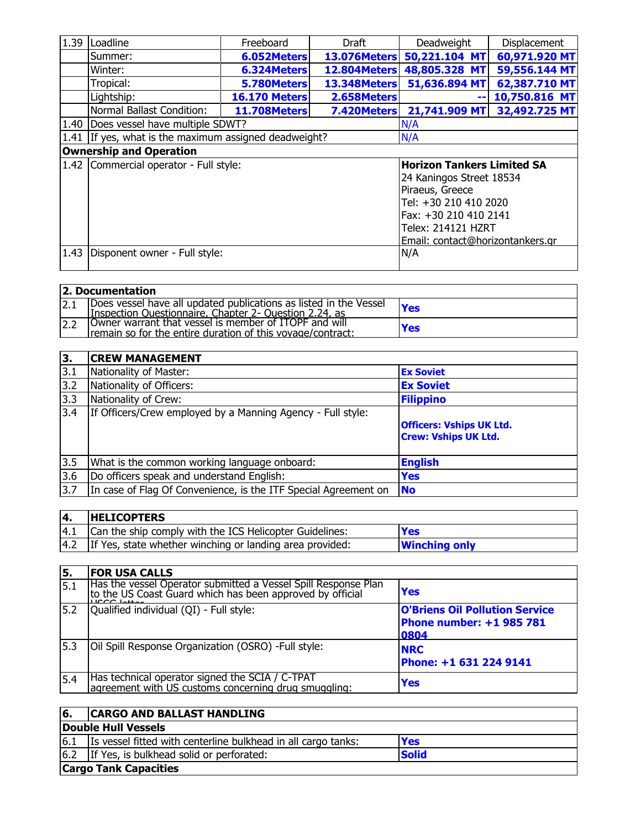| 1.39 | Loadline                                                | Freeboard                 | Draft                             | Deadweight                       | Displacement  |  |
|------|---------------------------------------------------------|---------------------------|-----------------------------------|----------------------------------|---------------|--|
|      | Summer:                                                 | 6.052Meters               | 13.076Meters                      | 50,221.104 MT                    | 60,971.920 MT |  |
|      | Winter:                                                 | 6.324Meters               | 12.804Meters                      | 48,805.328 MT                    | 59,556.144 MT |  |
|      | Tropical:                                               | 5.780Meters               | <b>13.348Meters</b>               | 51,636.894 MT                    | 62,387.710 MT |  |
|      | Lightship:                                              | <b>16.170 Meters</b>      | 2.658Meters                       | $\sim$                           | 10,750.816 MT |  |
|      | Normal Ballast Condition:                               | <b>11.708Meters</b>       | 7.420Meters                       | 21,741.909 MT                    | 32,492.725 MT |  |
| 1.40 | Does vessel have multiple SDWT?                         |                           | N/A                               |                                  |               |  |
|      | 1.41   If yes, what is the maximum assigned deadweight? |                           | N/A                               |                                  |               |  |
|      | <b>Ownership and Operation</b>                          |                           |                                   |                                  |               |  |
|      | 1.42 Commercial operator - Full style:                  |                           | <b>Horizon Tankers Limited SA</b> |                                  |               |  |
|      |                                                         |                           |                                   | 24 Kaningos Street 18534         |               |  |
|      |                                                         |                           |                                   | Piraeus, Greece                  |               |  |
|      |                                                         |                           |                                   | Tel: +30 210 410 2020            |               |  |
|      |                                                         | Fax: +30 210 410 2141     |                                   |                                  |               |  |
|      |                                                         | <b>Telex: 214121 HZRT</b> |                                   |                                  |               |  |
|      |                                                         |                           |                                   | Email: contact@horizontankers.gr |               |  |
| 1.43 | Disponent owner - Full style:                           |                           |                                   | N/A                              |               |  |

| 2. Documentation |                                                                                                                              |     |  |  |  |  |
|------------------|------------------------------------------------------------------------------------------------------------------------------|-----|--|--|--|--|
| 2.1              | Does vessel have all updated publications as listed in the Vessel<br>IInspection Questionnaire, Chapter 2- Question 2.24, as | Yes |  |  |  |  |
| 2.2              | Owner warrant that vessel is member of ITOPF and will<br>remain so for the entire duration of this voyage/contract:          | Yes |  |  |  |  |

| 3.  | <b>CREW MANAGEMENT</b>                                          |                                                                |
|-----|-----------------------------------------------------------------|----------------------------------------------------------------|
| 3.1 | Nationality of Master:                                          | <b>Ex Soviet</b>                                               |
| 3.2 | Nationality of Officers:                                        | <b>Ex Soviet</b>                                               |
| 3.3 | Nationality of Crew:                                            | <b>Filippino</b>                                               |
| 3.4 | If Officers/Crew employed by a Manning Agency - Full style:     | <b>Officers: Vships UK Ltd.</b><br><b>Crew: Vships UK Ltd.</b> |
| 3.5 | What is the common working language onboard:                    | <b>English</b>                                                 |
| 3.6 | Do officers speak and understand English:                       | Yes                                                            |
| 3.7 | In case of Flag Of Convenience, is the ITF Special Agreement on | <b>No</b>                                                      |

| 14. | <b>HELICOPTERS</b>                                       |                      |
|-----|----------------------------------------------------------|----------------------|
| 4.1 | Can the ship comply with the ICS Helicopter Guidelines:  | <b>Yes</b>           |
| 4.2 | If Yes, state whether winching or landing area provided: | <b>Winching only</b> |

| 5.   | <b>FOR USA CALLS</b>                                                                                                        |                                                                           |
|------|-----------------------------------------------------------------------------------------------------------------------------|---------------------------------------------------------------------------|
| 15.1 | Has the vessel Operator submitted a Vessel Spill Response Plan<br>to the US Coast Guard which has been approved by official | Yes                                                                       |
| 5.2  | Qualified individual (QI) - Full style:                                                                                     | <b>O'Briens Oil Pollution Service</b><br>Phone number: +1 985 781<br>0804 |
| 5.3  | Oil Spill Response Organization (OSRO) - Full style:                                                                        | <b>NRC</b><br>Phone: +1 631 224 9141                                      |
| 5.4  | Has technical operator signed the SCIA / C-TPAT<br>agreement with US customs concerning drug smuggling:                     | Yes                                                                       |

| 16. | <b>CARGO AND BALLAST HANDLING</b>                                      |            |  |  |  |  |
|-----|------------------------------------------------------------------------|------------|--|--|--|--|
|     | Double Hull Vessels                                                    |            |  |  |  |  |
| 6.1 | Is vessel fitted with centerline bulkhead in all cargo tanks:          | <b>Yes</b> |  |  |  |  |
|     | $\vert$ 6.2   If Yes, is bulkhead solid or perforated:<br><b>Solid</b> |            |  |  |  |  |
|     | <b>Cargo Tank Capacities</b>                                           |            |  |  |  |  |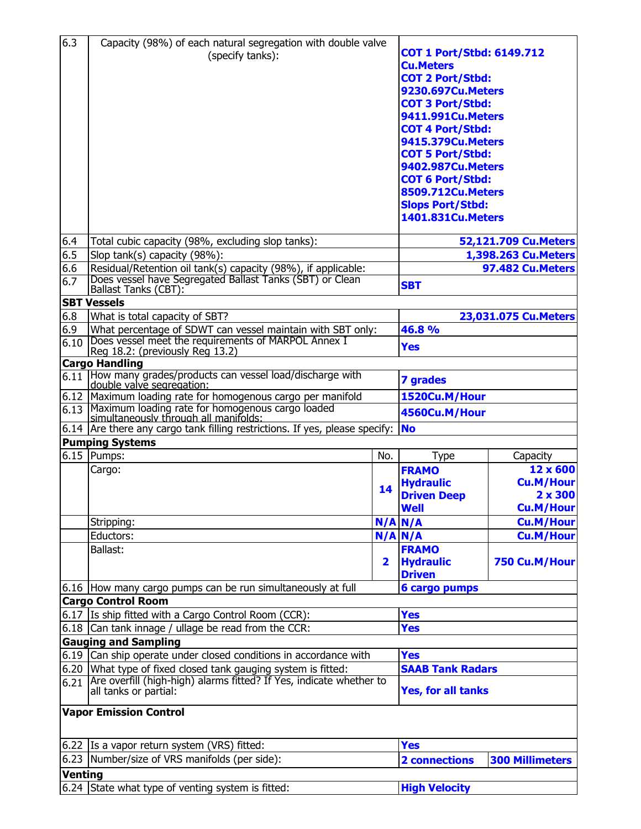| 6.3            | Capacity (98%) of each natural segregation with double valve<br>(specify tanks):                                                     | <b>COT 1 Port/Stbd: 6149.712</b><br><b>Cu.Meters</b><br><b>COT 2 Port/Stbd:</b><br><b>9230.697Cu.Meters</b><br><b>COT 3 Port/Stbd:</b><br><b>9411.991Cu.Meters</b><br><b>COT 4 Port/Stbd:</b><br><b>9415.379Cu.Meters</b><br><b>COT 5 Port/Stbd:</b><br><b>9402.987Cu.Meters</b><br><b>COT 6 Port/Stbd:</b><br>8509.712Cu.Meters<br><b>Slops Port/Stbd:</b> |                          |                                               |  |
|----------------|--------------------------------------------------------------------------------------------------------------------------------------|-------------------------------------------------------------------------------------------------------------------------------------------------------------------------------------------------------------------------------------------------------------------------------------------------------------------------------------------------------------|--------------------------|-----------------------------------------------|--|
|                |                                                                                                                                      |                                                                                                                                                                                                                                                                                                                                                             | <b>1401.831Cu.Meters</b> |                                               |  |
| 6.4<br>6.5     | Total cubic capacity (98%, excluding slop tanks):<br>Slop tank(s) capacity (98%):                                                    |                                                                                                                                                                                                                                                                                                                                                             |                          | 52,121.709 Cu. Meters<br>1,398.263 Cu. Meters |  |
| 6.6            | Residual/Retention oil tank(s) capacity (98%), if applicable:                                                                        |                                                                                                                                                                                                                                                                                                                                                             |                          | 97.482 Cu.Meters                              |  |
| 6.7            | Does vessel have Segregated Ballast Tanks (SBT) or Clean                                                                             |                                                                                                                                                                                                                                                                                                                                                             | <b>SBT</b>               |                                               |  |
|                | Ballast Tanks (CBT):                                                                                                                 |                                                                                                                                                                                                                                                                                                                                                             |                          |                                               |  |
|                | <b>SBT Vessels</b>                                                                                                                   |                                                                                                                                                                                                                                                                                                                                                             |                          |                                               |  |
| 6.8<br>6.9     | What is total capacity of SBT?<br>What percentage of SDWT can vessel maintain with SBT only:                                         |                                                                                                                                                                                                                                                                                                                                                             | 46.8%                    | 23,031.075 Cu. Meters                         |  |
| 6.10           | Does vessel meet the requirements of MARPOL Annex I                                                                                  |                                                                                                                                                                                                                                                                                                                                                             |                          |                                               |  |
|                | Reg 18.2: (previously Reg 13.2)                                                                                                      |                                                                                                                                                                                                                                                                                                                                                             | <b>Yes</b>               |                                               |  |
|                | <b>Cargo Handling</b><br>6.11 How many grades/products can vessel load/discharge with                                                |                                                                                                                                                                                                                                                                                                                                                             |                          |                                               |  |
|                | double valve segregation:                                                                                                            |                                                                                                                                                                                                                                                                                                                                                             | <b>7 grades</b>          |                                               |  |
|                | 6.12 Maximum loading rate for homogenous cargo per manifold                                                                          |                                                                                                                                                                                                                                                                                                                                                             | 1520Cu.M/Hour            |                                               |  |
|                | 6.13 Maximum loading rate for homogenous cargo loaded<br>simultaneously through all manifolds:                                       |                                                                                                                                                                                                                                                                                                                                                             | 4560Cu.M/Hour            |                                               |  |
|                | 6.14 $\vert$ Are there any cargo tank filling restrictions. If yes, please specify:                                                  |                                                                                                                                                                                                                                                                                                                                                             | <b>No</b>                |                                               |  |
|                | <b>Pumping Systems</b>                                                                                                               |                                                                                                                                                                                                                                                                                                                                                             |                          |                                               |  |
|                | $6.15$ Pumps:                                                                                                                        | No.                                                                                                                                                                                                                                                                                                                                                         | Type                     | Capacity                                      |  |
|                | Cargo:                                                                                                                               |                                                                                                                                                                                                                                                                                                                                                             | <b>FRAMO</b>             | 12 x 600                                      |  |
|                |                                                                                                                                      | 14                                                                                                                                                                                                                                                                                                                                                          | <b>Hydraulic</b>         | <b>Cu.M/Hour</b>                              |  |
|                |                                                                                                                                      |                                                                                                                                                                                                                                                                                                                                                             | <b>Driven Deep</b>       | $2 \times 300$                                |  |
|                |                                                                                                                                      |                                                                                                                                                                                                                                                                                                                                                             | <b>Well</b>              | <b>Cu.M/Hour</b>                              |  |
|                | Stripping:<br>Eductors:                                                                                                              |                                                                                                                                                                                                                                                                                                                                                             | N/A N/A<br>$N/A$ $N/A$   | <b>Cu.M/Hour</b><br><b>Cu.M/Hour</b>          |  |
|                | Ballast:                                                                                                                             |                                                                                                                                                                                                                                                                                                                                                             | <b>FRAMO</b>             |                                               |  |
|                |                                                                                                                                      | 2                                                                                                                                                                                                                                                                                                                                                           | <b>Hydraulic</b>         | 750 Cu.M/Hour                                 |  |
|                |                                                                                                                                      |                                                                                                                                                                                                                                                                                                                                                             | <b>Driven</b>            |                                               |  |
|                | 6.16 How many cargo pumps can be run simultaneously at full                                                                          |                                                                                                                                                                                                                                                                                                                                                             | <b>6 cargo pumps</b>     |                                               |  |
|                | <b>Cargo Control Room</b>                                                                                                            |                                                                                                                                                                                                                                                                                                                                                             |                          |                                               |  |
|                | 6.17 Is ship fitted with a Cargo Control Room (CCR):                                                                                 |                                                                                                                                                                                                                                                                                                                                                             | <b>Yes</b>               |                                               |  |
|                | 6.18 Can tank innage / ullage be read from the CCR:                                                                                  |                                                                                                                                                                                                                                                                                                                                                             | <b>Yes</b>               |                                               |  |
|                | <b>Gauging and Sampling</b>                                                                                                          |                                                                                                                                                                                                                                                                                                                                                             |                          |                                               |  |
|                | 6.19 Can ship operate under closed conditions in accordance with                                                                     | <b>Yes</b>                                                                                                                                                                                                                                                                                                                                                  |                          |                                               |  |
| 6.21           | 6.20 What type of fixed closed tank gauging system is fitted:<br>Are overfill (high-high) alarms fitted? If Yes, indicate whether to |                                                                                                                                                                                                                                                                                                                                                             | <b>SAAB Tank Radars</b>  |                                               |  |
|                | all tanks or partial:                                                                                                                | <b>Yes, for all tanks</b>                                                                                                                                                                                                                                                                                                                                   |                          |                                               |  |
|                | <b>Vapor Emission Control</b>                                                                                                        |                                                                                                                                                                                                                                                                                                                                                             |                          |                                               |  |
|                | 6.22 Is a vapor return system (VRS) fitted:                                                                                          |                                                                                                                                                                                                                                                                                                                                                             | <b>Yes</b>               |                                               |  |
|                | 6.23 Number/size of VRS manifolds (per side):                                                                                        |                                                                                                                                                                                                                                                                                                                                                             | <b>2 connections</b>     | <b>300 Millimeters</b>                        |  |
| <b>Venting</b> |                                                                                                                                      |                                                                                                                                                                                                                                                                                                                                                             |                          |                                               |  |
|                | 6.24 State what type of venting system is fitted:                                                                                    |                                                                                                                                                                                                                                                                                                                                                             | <b>High Velocity</b>     |                                               |  |
|                |                                                                                                                                      |                                                                                                                                                                                                                                                                                                                                                             |                          |                                               |  |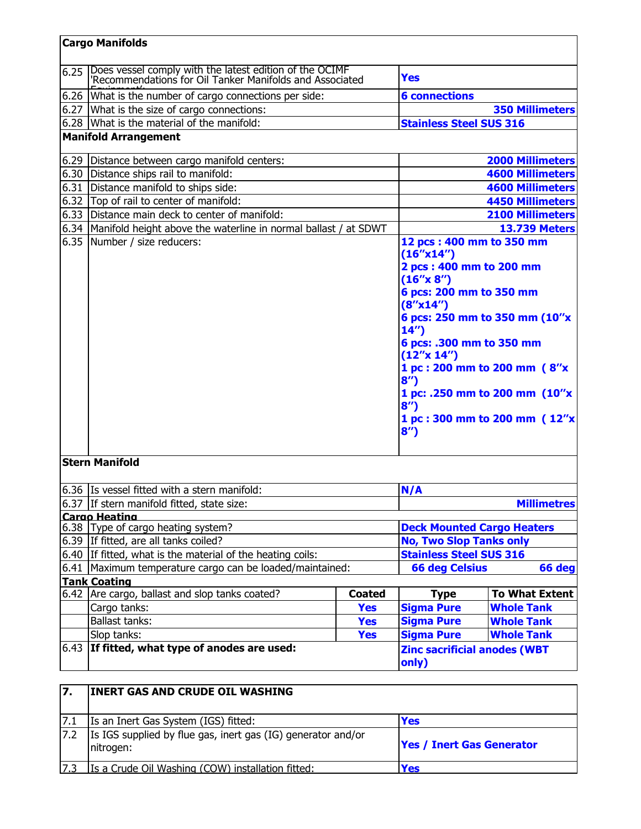| 6.43 | If fitted, what type of anodes are used:                                                                                                                                                                               |                                                                                                                           | <b>Zinc sacrificial anodes (WBT</b><br>only)                                                                                  |                                   |  |
|------|------------------------------------------------------------------------------------------------------------------------------------------------------------------------------------------------------------------------|---------------------------------------------------------------------------------------------------------------------------|-------------------------------------------------------------------------------------------------------------------------------|-----------------------------------|--|
|      | Slop tanks:                                                                                                                                                                                                            | <b>Yes</b>                                                                                                                | <b>Sigma Pure</b>                                                                                                             | <b>Whole Tank</b>                 |  |
|      | <b>Ballast tanks:</b>                                                                                                                                                                                                  | <b>Yes</b>                                                                                                                | <b>Sigma Pure</b>                                                                                                             | <b>Whole Tank</b>                 |  |
|      | Cargo tanks:                                                                                                                                                                                                           | <b>Yes</b>                                                                                                                | <b>Sigma Pure</b>                                                                                                             | <b>Whole Tank</b>                 |  |
|      | 6.42 Are cargo, ballast and slop tanks coated?                                                                                                                                                                         | <b>Coated</b>                                                                                                             | <b>Type</b>                                                                                                                   | <b>To What Extent</b>             |  |
|      | <b>Tank Coating</b>                                                                                                                                                                                                    |                                                                                                                           |                                                                                                                               |                                   |  |
|      | 6.41 Maximum temperature cargo can be loaded/maintained:                                                                                                                                                               |                                                                                                                           | <b>66 deg Celsius</b>                                                                                                         | 66 deg                            |  |
|      | 6.40 If fitted, what is the material of the heating coils:                                                                                                                                                             |                                                                                                                           | <b>Stainless Steel SUS 316</b>                                                                                                |                                   |  |
|      | 6.39 If fitted, are all tanks coiled?                                                                                                                                                                                  |                                                                                                                           | <b>No, Two Slop Tanks only</b>                                                                                                | <b>Deck Mounted Cargo Heaters</b> |  |
|      | Cargo Heating<br>6.38 Type of cargo heating system?                                                                                                                                                                    |                                                                                                                           |                                                                                                                               |                                   |  |
|      | 6.37 If stern manifold fitted, state size:                                                                                                                                                                             |                                                                                                                           |                                                                                                                               | <b>Millimetres</b>                |  |
|      | 6.36 Is vessel fitted with a stern manifold:                                                                                                                                                                           |                                                                                                                           | N/A                                                                                                                           |                                   |  |
|      | <b>Stern Manifold</b>                                                                                                                                                                                                  |                                                                                                                           |                                                                                                                               |                                   |  |
|      |                                                                                                                                                                                                                        | (16''x 8'')<br>6 pcs: 200 mm to 350 mm<br>(8''x14'')<br>14'<br>6 pcs: .300 mm to 350 mm<br>(12''x 14'')<br>8'<br>8'<br>8' | 6 pcs: 250 mm to 350 mm (10"x<br>1 pc: 200 mm to 200 mm (8"x<br>1 pc: .250 mm to 200 mm (10"x<br>1 pc: 300 mm to 200 mm (12"x |                                   |  |
|      | 6.35 Number / size reducers:                                                                                                                                                                                           |                                                                                                                           | 12 pcs: 400 mm to 350 mm<br>(16''x14'')<br>2 pcs: 400 mm to 200 mm                                                            |                                   |  |
|      | 6.34 Manifold height above the waterline in normal ballast / at SDWT                                                                                                                                                   |                                                                                                                           |                                                                                                                               | <b>13.739 Meters</b>              |  |
|      | 6.33 Distance main deck to center of manifold:                                                                                                                                                                         |                                                                                                                           |                                                                                                                               | <b>2100 Millimeters</b>           |  |
|      | 6.32 Top of rail to center of manifold:                                                                                                                                                                                |                                                                                                                           |                                                                                                                               | <b>4450 Millimeters</b>           |  |
|      | 6.31 Distance manifold to ships side:                                                                                                                                                                                  |                                                                                                                           |                                                                                                                               | <b>4600 Millimeters</b>           |  |
|      | 6.30 Distance ships rail to manifold:                                                                                                                                                                                  |                                                                                                                           |                                                                                                                               | <b>4600 Millimeters</b>           |  |
|      | 6.29 Distance between cargo manifold centers:                                                                                                                                                                          |                                                                                                                           |                                                                                                                               | <b>2000 Millimeters</b>           |  |
|      | <b>Manifold Arrangement</b>                                                                                                                                                                                            |                                                                                                                           |                                                                                                                               |                                   |  |
|      | 6.28 What is the material of the manifold:                                                                                                                                                                             |                                                                                                                           | <b>Stainless Steel SUS 316</b>                                                                                                |                                   |  |
| 6.26 | 6.27 What is the size of cargo connections:                                                                                                                                                                            |                                                                                                                           |                                                                                                                               | <b>350 Millimeters</b>            |  |
|      | Does vessel comply with the latest edition of the OCIMF<br>'Recommendations for Oil Tanker Manifolds and Associated<br>6.25<br><b>Yes</b><br>What is the number of cargo connections per side:<br><b>6 connections</b> |                                                                                                                           |                                                                                                                               |                                   |  |

|     | Is an Inert Gas System (IGS) fitted:                                       | Yes                              |
|-----|----------------------------------------------------------------------------|----------------------------------|
| 7.2 | Is IGS supplied by flue gas, inert gas (IG) generator and/or<br>Initrogen: | <b>Yes / Inert Gas Generator</b> |
|     | Is a Crude Oil Washing (COW) installation fitted:                          | Yes                              |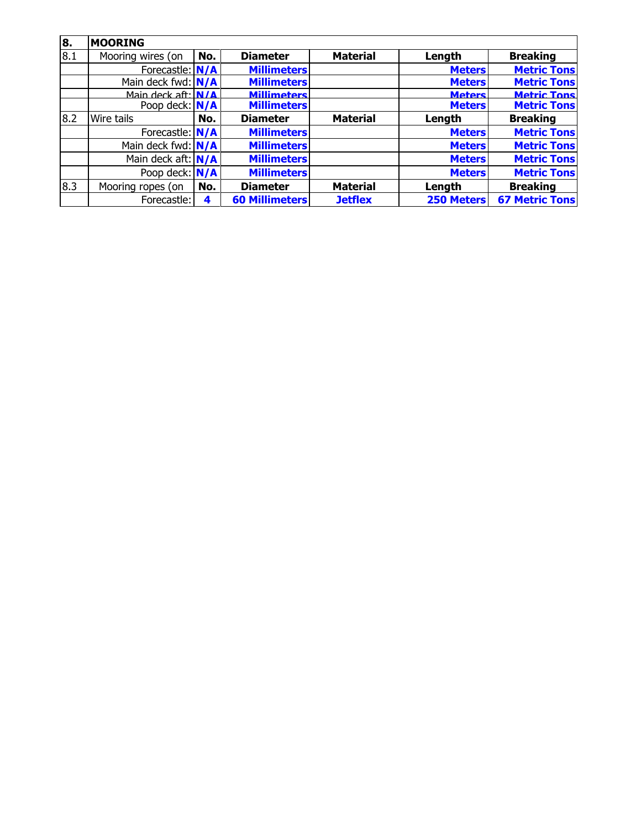| 8.  | <b>MOORING</b>       |     |                       |                 |               |                       |
|-----|----------------------|-----|-----------------------|-----------------|---------------|-----------------------|
| 8.1 | Mooring wires (on    | No. | <b>Diameter</b>       | <b>Material</b> | Length        | <b>Breaking</b>       |
|     | Forecastle: N/A      |     | <b>Millimeters</b>    |                 | <b>Meters</b> | <b>Metric Tons</b>    |
|     | Main deck fwd: $N/A$ |     | <b>Millimeters</b>    |                 | <b>Meters</b> | <b>Metric Tons</b>    |
|     | Main deck aft: $N/A$ |     | <b>Millimeters</b>    |                 | <b>Meters</b> | <b>Metric Tons</b>    |
|     | Poop deck: $N/A$     |     | <b>Millimeters</b>    |                 | <b>Meters</b> | <b>Metric Tons</b>    |
| 8.2 | Wire tails           | No. | <b>Diameter</b>       | <b>Material</b> | Length        | <b>Breaking</b>       |
|     | Forecastle: N/A      |     | <b>Millimeters</b>    |                 | <b>Meters</b> | <b>Metric Tons</b>    |
|     | Main deck fwd: $N/A$ |     | <b>Millimeters</b>    |                 | <b>Meters</b> | <b>Metric Tons</b>    |
|     | Main deck aft: $N/A$ |     | <b>Millimeters</b>    |                 | <b>Meters</b> | <b>Metric Tons</b>    |
|     | Poop deck: $N/A$     |     | <b>Millimeters</b>    |                 | <b>Meters</b> | <b>Metric Tons</b>    |
| 8.3 | Mooring ropes (on    | No. | <b>Diameter</b>       | <b>Material</b> | Length        | <b>Breaking</b>       |
|     | Forecastle:          | 4   | <b>60 Millimeters</b> | <b>Jetflex</b>  | 250 Meters    | <b>67 Metric Tons</b> |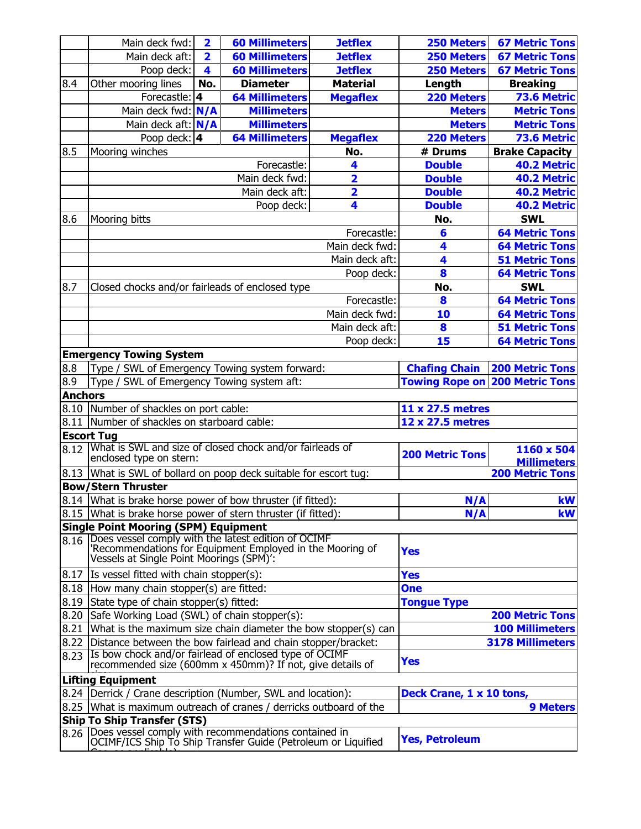|                | Main deck fwd:                                                                                        | $\overline{\mathbf{2}}$ | <b>60 Millimeters</b> | <b>Jetflex</b>          | <b>250 Meters</b>                     | <b>67 Metric Tons</b>   |  |  |
|----------------|-------------------------------------------------------------------------------------------------------|-------------------------|-----------------------|-------------------------|---------------------------------------|-------------------------|--|--|
|                | Main deck aft:                                                                                        | 2                       | <b>60 Millimeters</b> | <b>Jetflex</b>          | <b>250 Meters</b>                     | <b>67 Metric Tons</b>   |  |  |
|                | Poop deck:                                                                                            | $\overline{\mathbf{4}}$ | <b>60 Millimeters</b> | <b>Jetflex</b>          | <b>250 Meters</b>                     | <b>67 Metric Tons</b>   |  |  |
| 8.4            | Other mooring lines                                                                                   | No.                     | <b>Diameter</b>       | <b>Material</b>         | Length                                | <b>Breaking</b>         |  |  |
|                | Forecastle: 4                                                                                         |                         | <b>64 Millimeters</b> | <b>Megaflex</b>         | 220 Meters                            | 73.6 Metric             |  |  |
|                | Main deck fwd: N/A                                                                                    |                         | <b>Millimeters</b>    |                         | <b>Meters</b>                         | <b>Metric Tons</b>      |  |  |
|                | Main deck aft: N/A                                                                                    |                         | <b>Millimeters</b>    |                         | <b>Meters</b>                         | <b>Metric Tons</b>      |  |  |
|                | Poop deck: $4$                                                                                        |                         | <b>64 Millimeters</b> | <b>Megaflex</b>         | 220 Meters                            | 73.6 Metric             |  |  |
| 8.5            | Mooring winches                                                                                       |                         |                       | No.                     | # Drums                               | <b>Brake Capacity</b>   |  |  |
|                |                                                                                                       |                         | Forecastle:           | 4                       | <b>Double</b>                         | 40.2 Metric             |  |  |
|                |                                                                                                       |                         | Main deck fwd:        | $\overline{\mathbf{2}}$ | <b>Double</b>                         | 40.2 Metric             |  |  |
|                |                                                                                                       |                         | Main deck aft:        | 2                       | <b>Double</b>                         | 40.2 Metric             |  |  |
|                |                                                                                                       |                         | Poop deck:            | 4                       | <b>Double</b>                         | 40.2 Metric             |  |  |
| 8.6            | Mooring bitts                                                                                         |                         |                       |                         | No.                                   | <b>SWL</b>              |  |  |
|                |                                                                                                       |                         |                       | Forecastle:             | 6                                     | <b>64 Metric Tons</b>   |  |  |
|                |                                                                                                       |                         |                       | Main deck fwd:          | 4                                     | <b>64 Metric Tons</b>   |  |  |
|                |                                                                                                       |                         |                       | Main deck aft:          | 4                                     | <b>51 Metric Tons</b>   |  |  |
|                |                                                                                                       |                         |                       | Poop deck:              | 8                                     | <b>64 Metric Tons</b>   |  |  |
| 8.7            | Closed chocks and/or fairleads of enclosed type                                                       |                         |                       |                         | No.                                   | <b>SWL</b>              |  |  |
|                |                                                                                                       |                         |                       | Forecastle:             | 8                                     | <b>64 Metric Tons</b>   |  |  |
|                |                                                                                                       |                         |                       | Main deck fwd:          | 10                                    | <b>64 Metric Tons</b>   |  |  |
|                |                                                                                                       |                         |                       | Main deck aft:          | 8                                     | <b>51 Metric Tons</b>   |  |  |
|                |                                                                                                       |                         |                       | Poop deck:              | 15                                    | <b>64 Metric Tons</b>   |  |  |
|                | <b>Emergency Towing System</b>                                                                        |                         |                       |                         |                                       |                         |  |  |
| 8.8            | Type / SWL of Emergency Towing system forward:                                                        |                         |                       |                         | <b>Chafing Chain</b>                  | <b>200 Metric Tons</b>  |  |  |
| 8.9            | Type / SWL of Emergency Towing system aft:                                                            |                         |                       |                         | <b>Towing Rope on 200 Metric Tons</b> |                         |  |  |
| <b>Anchors</b> |                                                                                                       |                         |                       |                         |                                       |                         |  |  |
|                | 8.10 Number of shackles on port cable:                                                                |                         |                       |                         | 11 x 27.5 metres                      |                         |  |  |
|                | 8.11 Number of shackles on starboard cable:                                                           |                         |                       |                         | 12 x 27.5 metres                      |                         |  |  |
|                | <b>Escort Tug</b>                                                                                     |                         |                       |                         |                                       |                         |  |  |
| 8.12           | What is SWL and size of closed chock and/or fairleads of                                              |                         |                       |                         | <b>200 Metric Tons</b>                | 1160 x 504              |  |  |
|                | enclosed type on stern:                                                                               |                         |                       |                         |                                       | <b>Millimeters</b>      |  |  |
|                | 8.13 What is SWL of bollard on poop deck suitable for escort tug:                                     |                         |                       |                         |                                       | <b>200 Metric Tons</b>  |  |  |
|                | <b>Bow/Stern Thruster</b>                                                                             |                         |                       |                         |                                       |                         |  |  |
|                | 8.14 What is brake horse power of bow thruster (if fitted):                                           |                         |                       |                         | N/A                                   | kW                      |  |  |
|                | 8.15 What is brake horse power of stern thruster (if fitted):                                         |                         |                       |                         | N/A                                   | kW                      |  |  |
|                | <b>Single Point Mooring (SPM) Equipment</b><br>Does vessel comply with the latest edition of OCIMF    |                         |                       |                         |                                       |                         |  |  |
| 8.16           |                                                                                                       |                         |                       |                         | <b>Yes</b>                            |                         |  |  |
|                | 'Recommendations for Equipment Employed in the Mooring of<br>Vessels at Single Point Moorings (SPM)': |                         |                       |                         |                                       |                         |  |  |
|                | $ 8.17 $ Is vessel fitted with chain stopper(s):                                                      |                         |                       |                         | <b>Yes</b>                            |                         |  |  |
| 8.18           | How many chain stopper(s) are fitted:                                                                 |                         |                       |                         | <b>One</b>                            |                         |  |  |
| 8.19           | State type of chain stopper(s) fitted:                                                                |                         |                       |                         | <b>Tongue Type</b>                    |                         |  |  |
| 8.20           | Safe Working Load (SWL) of chain stopper(s):                                                          |                         |                       |                         |                                       | <b>200 Metric Tons</b>  |  |  |
| 8.21           | What is the maximum size chain diameter the bow stopper(s) can                                        |                         |                       |                         |                                       | <b>100 Millimeters</b>  |  |  |
| 8.22           | Distance between the bow fairlead and chain stopper/bracket:                                          |                         |                       |                         |                                       | <b>3178 Millimeters</b> |  |  |
| 8.23           | Is bow chock and/or fairlead of enclosed type of OCIMF                                                |                         |                       |                         |                                       |                         |  |  |
|                | recommended size (600mm x 450mm)? If not, give details of                                             |                         |                       |                         | <b>Yes</b>                            |                         |  |  |
|                | <b>Lifting Equipment</b>                                                                              |                         |                       |                         |                                       |                         |  |  |
|                | 8.24   Derrick / Crane description (Number, SWL and location):                                        |                         |                       |                         | Deck Crane, 1 x 10 tons,              |                         |  |  |
|                | 8.25   What is maximum outreach of cranes / derricks outboard of the                                  |                         |                       |                         |                                       | <b>9 Meters</b>         |  |  |
|                | <b>Ship To Ship Transfer (STS)</b>                                                                    |                         |                       |                         |                                       |                         |  |  |
| 8.26           | Does vessel comply with recommendations contained in                                                  |                         |                       |                         | <b>Yes, Petroleum</b>                 |                         |  |  |
|                | OCIMF/ICS Ship To Ship Transfer Guide (Petroleum or Liquified                                         |                         |                       |                         |                                       |                         |  |  |